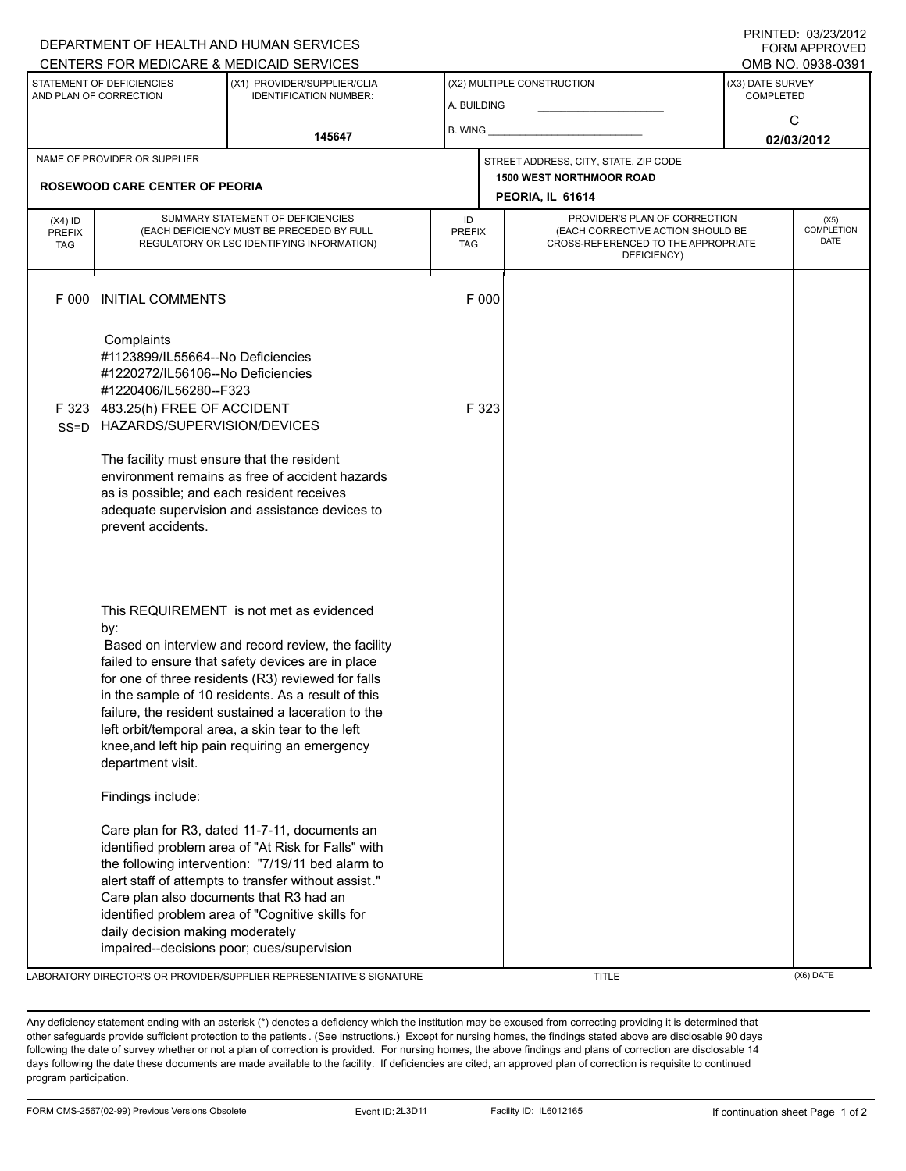|                                                                                                                                                                 |                                                                                                                                                                                                                                                                                                                                                                                                                                                                                                                                                                                                                                                                                                                                                                                                                                                                                      | DEPARTMENT OF HEALTH AND HUMAN SERVICES                                                           |                                       |                                                                                                                          |                                 |                                       | FORM APPROVED                     |  |
|-----------------------------------------------------------------------------------------------------------------------------------------------------------------|--------------------------------------------------------------------------------------------------------------------------------------------------------------------------------------------------------------------------------------------------------------------------------------------------------------------------------------------------------------------------------------------------------------------------------------------------------------------------------------------------------------------------------------------------------------------------------------------------------------------------------------------------------------------------------------------------------------------------------------------------------------------------------------------------------------------------------------------------------------------------------------|---------------------------------------------------------------------------------------------------|---------------------------------------|--------------------------------------------------------------------------------------------------------------------------|---------------------------------|---------------------------------------|-----------------------------------|--|
| CENTERS FOR MEDICARE & MEDICAID SERVICES<br>STATEMENT OF DEFICIENCIES<br>(X1) PROVIDER/SUPPLIER/CLIA<br>AND PLAN OF CORRECTION<br><b>IDENTIFICATION NUMBER:</b> |                                                                                                                                                                                                                                                                                                                                                                                                                                                                                                                                                                                                                                                                                                                                                                                                                                                                                      |                                                                                                   | (X2) MULTIPLE CONSTRUCTION            |                                                                                                                          |                                 | OMB NO. 0938-0391<br>(X3) DATE SURVEY |                                   |  |
|                                                                                                                                                                 |                                                                                                                                                                                                                                                                                                                                                                                                                                                                                                                                                                                                                                                                                                                                                                                                                                                                                      |                                                                                                   | A. BUILDING                           |                                                                                                                          |                                 | <b>COMPLETED</b>                      |                                   |  |
|                                                                                                                                                                 |                                                                                                                                                                                                                                                                                                                                                                                                                                                                                                                                                                                                                                                                                                                                                                                                                                                                                      | 145647                                                                                            | <b>B. WING</b>                        |                                                                                                                          |                                 | C                                     |                                   |  |
| NAME OF PROVIDER OR SUPPLIER                                                                                                                                    |                                                                                                                                                                                                                                                                                                                                                                                                                                                                                                                                                                                                                                                                                                                                                                                                                                                                                      |                                                                                                   | STREET ADDRESS, CITY, STATE, ZIP CODE |                                                                                                                          |                                 | 02/03/2012                            |                                   |  |
|                                                                                                                                                                 |                                                                                                                                                                                                                                                                                                                                                                                                                                                                                                                                                                                                                                                                                                                                                                                                                                                                                      |                                                                                                   |                                       |                                                                                                                          | <b>1500 WEST NORTHMOOR ROAD</b> |                                       |                                   |  |
| <b>ROSEWOOD CARE CENTER OF PEORIA</b>                                                                                                                           |                                                                                                                                                                                                                                                                                                                                                                                                                                                                                                                                                                                                                                                                                                                                                                                                                                                                                      |                                                                                                   |                                       | PEORIA, IL 61614                                                                                                         |                                 |                                       |                                   |  |
| $(X4)$ ID<br><b>PREFIX</b><br><b>TAG</b>                                                                                                                        | SUMMARY STATEMENT OF DEFICIENCIES<br>(EACH DEFICIENCY MUST BE PRECEDED BY FULL<br>REGULATORY OR LSC IDENTIFYING INFORMATION)                                                                                                                                                                                                                                                                                                                                                                                                                                                                                                                                                                                                                                                                                                                                                         |                                                                                                   | ID<br><b>PREFIX</b><br><b>TAG</b>     | PROVIDER'S PLAN OF CORRECTION<br>(EACH CORRECTIVE ACTION SHOULD BE<br>CROSS-REFERENCED TO THE APPROPRIATE<br>DEFICIENCY) |                                 |                                       | (X5)<br>COMPLETION<br><b>DATE</b> |  |
| F 000                                                                                                                                                           | <b>INITIAL COMMENTS</b>                                                                                                                                                                                                                                                                                                                                                                                                                                                                                                                                                                                                                                                                                                                                                                                                                                                              |                                                                                                   |                                       | F 000                                                                                                                    |                                 |                                       |                                   |  |
| F 323<br>$SS = D$                                                                                                                                               | Complaints<br>#1123899/IL55664--No Deficiencies<br>#1220272/IL56106--No Deficiencies<br>#1220406/IL56280--F323<br>483.25(h) FREE OF ACCIDENT<br>HAZARDS/SUPERVISION/DEVICES<br>The facility must ensure that the resident<br>as is possible; and each resident receives<br>prevent accidents.                                                                                                                                                                                                                                                                                                                                                                                                                                                                                                                                                                                        | environment remains as free of accident hazards<br>adequate supervision and assistance devices to |                                       | F 323                                                                                                                    |                                 |                                       |                                   |  |
|                                                                                                                                                                 | This REQUIREMENT is not met as evidenced<br>by:<br>Based on interview and record review, the facility<br>failed to ensure that safety devices are in place<br>for one of three residents (R3) reviewed for falls<br>in the sample of 10 residents. As a result of this<br>failure, the resident sustained a laceration to the<br>left orbit/temporal area, a skin tear to the left<br>knee, and left hip pain requiring an emergency<br>department visit.<br>Findings include:<br>Care plan for R3, dated 11-7-11, documents an<br>identified problem area of "At Risk for Falls" with<br>the following intervention: "7/19/11 bed alarm to<br>alert staff of attempts to transfer without assist."<br>Care plan also documents that R3 had an<br>identified problem area of "Cognitive skills for<br>daily decision making moderately<br>impaired--decisions poor; cues/supervision |                                                                                                   |                                       |                                                                                                                          |                                 |                                       |                                   |  |

LABORATORY DIRECTOR'S OR PROVIDER/SUPPLIER REPRESENTATIVE'S SIGNATURE TITLE THE TITLE (X6) DATE

DEPARTMENT OF HEALTH AND HUMAN SERVICES

PRINTED: 03/23/2012

Any deficiency statement ending with an asterisk (\*) denotes a deficiency which the institution may be excused from correcting providing it is determined that other safeguards provide sufficient protection to the patients . (See instructions.) Except for nursing homes, the findings stated above are disclosable 90 days following the date of survey whether or not a plan of correction is provided. For nursing homes, the above findings and plans of correction are disclosable 14 days following the date these documents are made available to the facility. If deficiencies are cited, an approved plan of correction is requisite to continued program participation.